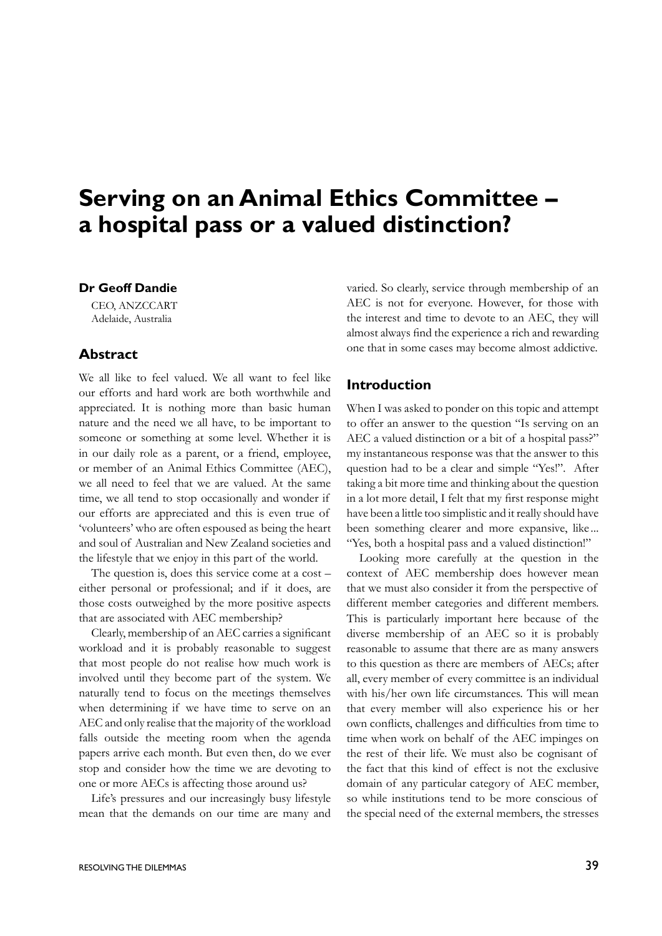# **Serving on an Animal Ethics Committee – a hospital pass or a valued distinction?**

## **Dr Geoff Dandie**

CEO, ANZCCART Adelaide, Australia

# **Abstract**

We all like to feel valued. We all want to feel like our efforts and hard work are both worthwhile and appreciated. It is nothing more than basic human nature and the need we all have, to be important to someone or something at some level. Whether it is in our daily role as a parent, or a friend, employee, or member of an Animal Ethics Committee (AEC), we all need to feel that we are valued. At the same time, we all tend to stop occasionally and wonder if our efforts are appreciated and this is even true of 'volunteers' who are often espoused as being the heart and soul of Australian and New Zealand societies and the lifestyle that we enjoy in this part of the world.

The question is, does this service come at a cost – either personal or professional; and if it does, are those costs outweighed by the more positive aspects that are associated with AEC membership?

 Clearly, membership of an AEC carries a significant workload and it is probably reasonable to suggest that most people do not realise how much work is involved until they become part of the system. We naturally tend to focus on the meetings themselves when determining if we have time to serve on an AEC and only realise that the majority of the workload falls outside the meeting room when the agenda papers arrive each month. But even then, do we ever stop and consider how the time we are devoting to one or more AECs is affecting those around us?

Life's pressures and our increasingly busy lifestyle mean that the demands on our time are many and varied. So clearly, service through membership of an AEC is not for everyone. However, for those with the interest and time to devote to an AEC, they will almost always find the experience a rich and rewarding one that in some cases may become almost addictive.

# **Introduction**

When I was asked to ponder on this topic and attempt to offer an answer to the question "Is serving on an AEC a valued distinction or a bit of a hospital pass?" my instantaneous response was that the answer to this question had to be a clear and simple "Yes!". After taking a bit more time and thinking about the question in a lot more detail, I felt that my first response might have been a little too simplistic and it really should have been something clearer and more expansive, like ... "Yes, both a hospital pass and a valued distinction!"

Looking more carefully at the question in the context of AEC membership does however mean that we must also consider it from the perspective of different member categories and different members. This is particularly important here because of the diverse membership of an AEC so it is probably reasonable to assume that there are as many answers to this question as there are members of AECs; after all, every member of every committee is an individual with his/her own life circumstances. This will mean that every member will also experience his or her own conflicts, challenges and difficulties from time to time when work on behalf of the AEC impinges on the rest of their life. We must also be cognisant of the fact that this kind of effect is not the exclusive domain of any particular category of AEC member, so while institutions tend to be more conscious of the special need of the external members, the stresses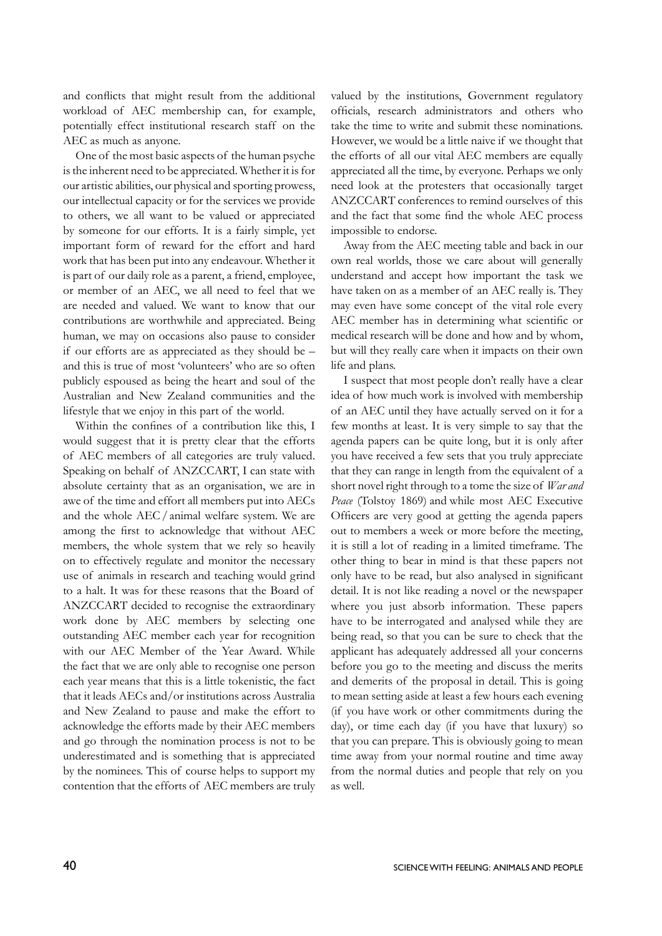and conflicts that might result from the additional workload of AEC membership can, for example, potentially effect institutional research staff on the AEC as much as anyone.

One of the most basic aspects of the human psyche is the inherent need to be appreciated. Whether it is for our artistic abilities, our physical and sporting prowess, our intellectual capacity or for the services we provide to others, we all want to be valued or appreciated by someone for our efforts. It is a fairly simple, yet important form of reward for the effort and hard work that has been put into any endeavour. Whether it is part of our daily role as a parent, a friend, employee, or member of an AEC, we all need to feel that we are needed and valued. We want to know that our contributions are worthwhile and appreciated. Being human, we may on occasions also pause to consider if our efforts are as appreciated as they should be – and this is true of most 'volunteers' who are so often publicly espoused as being the heart and soul of the Australian and New Zealand communities and the lifestyle that we enjoy in this part of the world.

 Within the confines of a contribution like this, I would suggest that it is pretty clear that the efforts of AEC members of all categories are truly valued. Speaking on behalf of ANZCCART, I can state with absolute certainty that as an organisation, we are in awe of the time and effort all members put into AECs and the whole AEC/ animal welfare system. We are among the first to acknowledge that without AEC members, the whole system that we rely so heavily on to effectively regulate and monitor the necessary use of animals in research and teaching would grind to a halt. It was for these reasons that the Board of ANZCCART decided to recognise the extraordinary work done by AEC members by selecting one outstanding AEC member each year for recognition with our AEC Member of the Year Award. While the fact that we are only able to recognise one person each year means that this is a little tokenistic, the fact that it leads AECs and/or institutions across Australia and New Zealand to pause and make the effort to acknowledge the efforts made by their AEC members and go through the nomination process is not to be underestimated and is something that is appreciated by the nominees. This of course helps to support my contention that the efforts of AEC members are truly valued by the institutions, Government regulatory officials, research administrators and others who take the time to write and submit these nominations. However, we would be a little naive if we thought that the efforts of all our vital AEC members are equally appreciated all the time, by everyone. Perhaps we only need look at the protesters that occasionally target ANZCCART conferences to remind ourselves of this and the fact that some find the whole AEC process impossible to endorse.

Away from the AEC meeting table and back in our own real worlds, those we care about will generally understand and accept how important the task we have taken on as a member of an AEC really is. They may even have some concept of the vital role every AEC member has in determining what scientific or medical research will be done and how and by whom, but will they really care when it impacts on their own life and plans.

I suspect that most people don't really have a clear idea of how much work is involved with membership of an AEC until they have actually served on it for a few months at least. It is very simple to say that the agenda papers can be quite long, but it is only after you have received a few sets that you truly appreciate that they can range in length from the equivalent of a short novel right through to a tome the size of *War and Peace* (Tolstoy 1869) and while most AEC Executive Officers are very good at getting the agenda papers out to members a week or more before the meeting, it is still a lot of reading in a limited timeframe. The other thing to bear in mind is that these papers not only have to be read, but also analysed in significant detail. It is not like reading a novel or the newspaper where you just absorb information. These papers have to be interrogated and analysed while they are being read, so that you can be sure to check that the applicant has adequately addressed all your concerns before you go to the meeting and discuss the merits and demerits of the proposal in detail. This is going to mean setting aside at least a few hours each evening (if you have work or other commitments during the day), or time each day (if you have that luxury) so that you can prepare. This is obviously going to mean time away from your normal routine and time away from the normal duties and people that rely on you as well.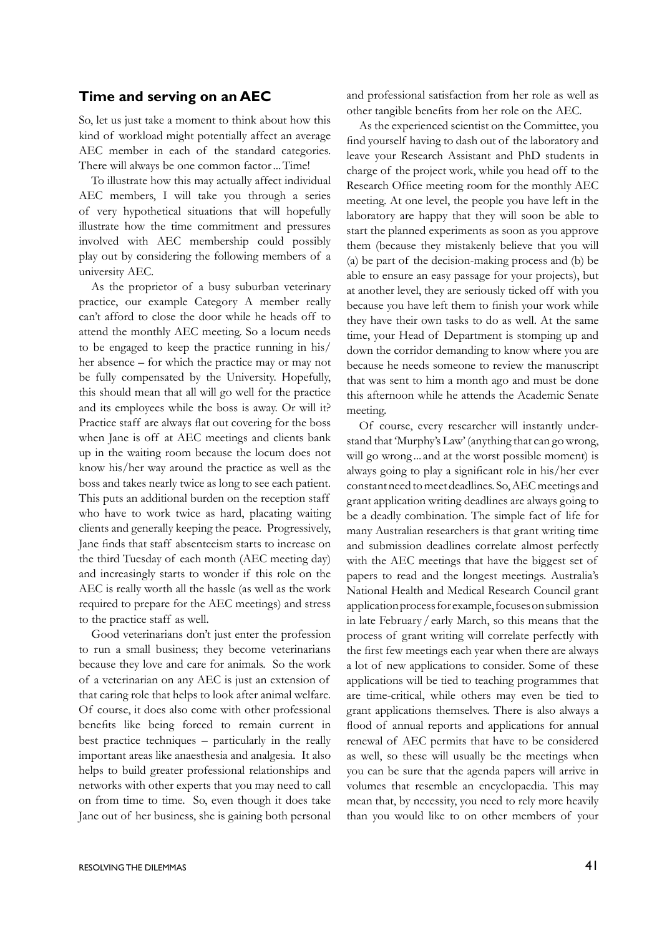#### **Time and serving on an AEC**

So, let us just take a moment to think about how this kind of workload might potentially affect an average AEC member in each of the standard categories. There will always be one common factor...Time!

To illustrate how this may actually affect individual AEC members, I will take you through a series of very hypothetical situations that will hopefully illustrate how the time commitment and pressures involved with AEC membership could possibly play out by considering the following members of a university AEC.

As the proprietor of a busy suburban veterinary practice, our example Category A member really can't afford to close the door while he heads off to attend the monthly AEC meeting. So a locum needs to be engaged to keep the practice running in his/ her absence – for which the practice may or may not be fully compensated by the University. Hopefully, this should mean that all will go well for the practice and its employees while the boss is away. Or will it? Practice staff are always flat out covering for the boss when Jane is off at AEC meetings and clients bank up in the waiting room because the locum does not know his/her way around the practice as well as the boss and takes nearly twice as long to see each patient. This puts an additional burden on the reception staff who have to work twice as hard, placating waiting clients and generally keeping the peace. Progressively, Jane finds that staff absenteeism starts to increase on the third Tuesday of each month (AEC meeting day) and increasingly starts to wonder if this role on the AEC is really worth all the hassle (as well as the work required to prepare for the AEC meetings) and stress to the practice staff as well.

Good veterinarians don't just enter the profession to run a small business; they become veterinarians because they love and care for animals. So the work of a veterinarian on any AEC is just an extension of that caring role that helps to look after animal welfare. Of course, it does also come with other professional benefits like being forced to remain current in best practice techniques – particularly in the really important areas like anaesthesia and analgesia. It also helps to build greater professional relationships and networks with other experts that you may need to call on from time to time. So, even though it does take Jane out of her business, she is gaining both personal

 As the experienced scientist on the Committee, you find yourself having to dash out of the laboratory and leave your Research Assistant and PhD students in charge of the project work, while you head off to the Research Office meeting room for the monthly AEC meeting. At one level, the people you have left in the laboratory are happy that they will soon be able to start the planned experiments as soon as you approve them (because they mistakenly believe that you will (a) be part of the decision-making process and (b) be able to ensure an easy passage for your projects), but at another level, they are seriously ticked off with you because you have left them to finish your work while they have their own tasks to do as well. At the same time, your Head of Department is stomping up and down the corridor demanding to know where you are because he needs someone to review the manuscript that was sent to him a month ago and must be done this afternoon while he attends the Academic Senate meeting.

Of course, every researcher will instantly understand that 'Murphy's Law' (anything that can go wrong, will go wrong ... and at the worst possible moment) is always going to play a significant role in his/her ever constant need to meet deadlines. So, AEC meetings and grant application writing deadlines are always going to be a deadly combination. The simple fact of life for many Australian researchers is that grant writing time and submission deadlines correlate almost perfectly with the AEC meetings that have the biggest set of papers to read and the longest meetings. Australia's National Health and Medical Research Council grant applicationprocessforexample,focusesonsubmission in late February / early March, so this means that the process of grant writing will correlate perfectly with the first few meetings each year when there are always a lot of new applications to consider. Some of these applications will be tied to teaching programmes that are time-critical, while others may even be tied to grant applications themselves. There is also always a flood of annual reports and applications for annual renewal of AEC permits that have to be considered as well, so these will usually be the meetings when you can be sure that the agenda papers will arrive in volumes that resemble an encyclopaedia. This may mean that, by necessity, you need to rely more heavily than you would like to on other members of your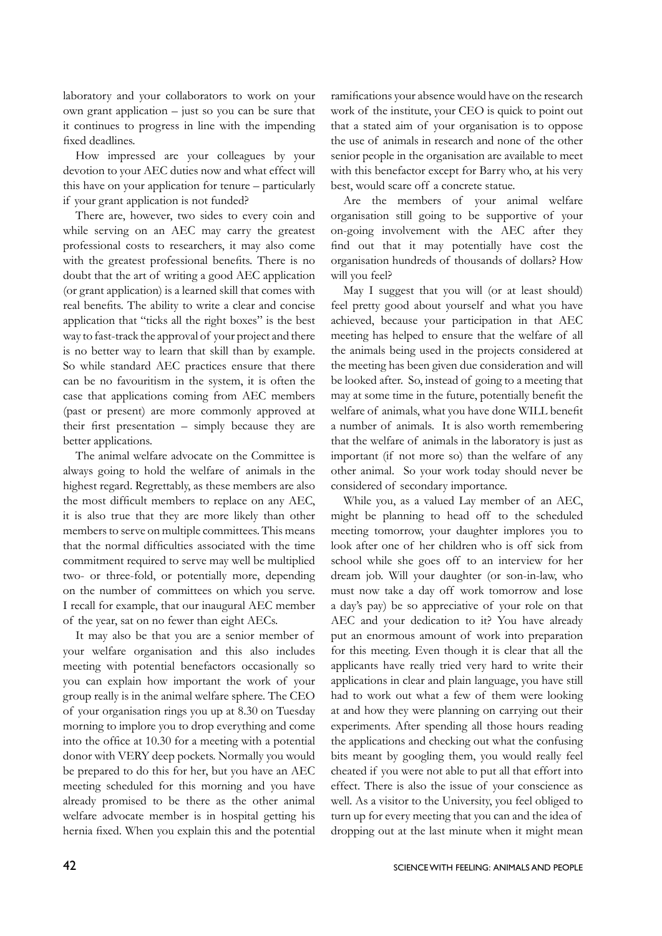laboratory and your collaborators to work on your own grant application – just so you can be sure that it continues to progress in line with the impending fixed deadlines.

How impressed are your colleagues by your devotion to your AEC duties now and what effect will this have on your application for tenure – particularly if your grant application is not funded?

There are, however, two sides to every coin and while serving on an AEC may carry the greatest professional costs to researchers, it may also come with the greatest professional benefits. There is no doubt that the art of writing a good AEC application (or grant application) is a learned skill that comes with real benefits. The ability to write a clear and concise application that "ticks all the right boxes" is the best way to fast-track the approval of your project and there is no better way to learn that skill than by example. So while standard AEC practices ensure that there can be no favouritism in the system, it is often the case that applications coming from AEC members (past or present) are more commonly approved at their first presentation – simply because they are better applications.

The animal welfare advocate on the Committee is always going to hold the welfare of animals in the highest regard. Regrettably, as these members are also the most difficult members to replace on any AEC, it is also true that they are more likely than other members to serve on multiple committees. This means that the normal difficulties associated with the time commitment required to serve may well be multiplied two- or three-fold, or potentially more, depending on the number of committees on which you serve. I recall for example, that our inaugural AEC member of the year, sat on no fewer than eight AECs.

It may also be that you are a senior member of your welfare organisation and this also includes meeting with potential benefactors occasionally so you can explain how important the work of your group really is in the animal welfare sphere. The CEO of your organisation rings you up at 8.30 on Tuesday morning to implore you to drop everything and come into the office at 10.30 for a meeting with a potential donor with VERY deep pockets. Normally you would be prepared to do this for her, but you have an AEC meeting scheduled for this morning and you have already promised to be there as the other animal welfare advocate member is in hospital getting his hernia fixed. When you explain this and the potential ramifications your absence would have on the research work of the institute, your CEO is quick to point out that a stated aim of your organisation is to oppose the use of animals in research and none of the other senior people in the organisation are available to meet with this benefactor except for Barry who, at his very best, would scare off a concrete statue.

Are the members of your animal welfare organisation still going to be supportive of your on-going involvement with the AEC after they find out that it may potentially have cost the organisation hundreds of thousands of dollars? How will you feel?

May I suggest that you will (or at least should) feel pretty good about yourself and what you have achieved, because your participation in that AEC meeting has helped to ensure that the welfare of all the animals being used in the projects considered at the meeting has been given due consideration and will be looked after. So, instead of going to a meeting that may at some time in the future, potentially benefit the welfare of animals, what you have done WILL benefit a number of animals. It is also worth remembering that the welfare of animals in the laboratory is just as important (if not more so) than the welfare of any other animal. So your work today should never be considered of secondary importance.

While you, as a valued Lay member of an AEC, might be planning to head off to the scheduled meeting tomorrow, your daughter implores you to look after one of her children who is off sick from school while she goes off to an interview for her dream job. Will your daughter (or son-in-law, who must now take a day off work tomorrow and lose a day's pay) be so appreciative of your role on that AEC and your dedication to it? You have already put an enormous amount of work into preparation for this meeting. Even though it is clear that all the applicants have really tried very hard to write their applications in clear and plain language, you have still had to work out what a few of them were looking at and how they were planning on carrying out their experiments. After spending all those hours reading the applications and checking out what the confusing bits meant by googling them, you would really feel cheated if you were not able to put all that effort into effect. There is also the issue of your conscience as well. As a visitor to the University, you feel obliged to turn up for every meeting that you can and the idea of dropping out at the last minute when it might mean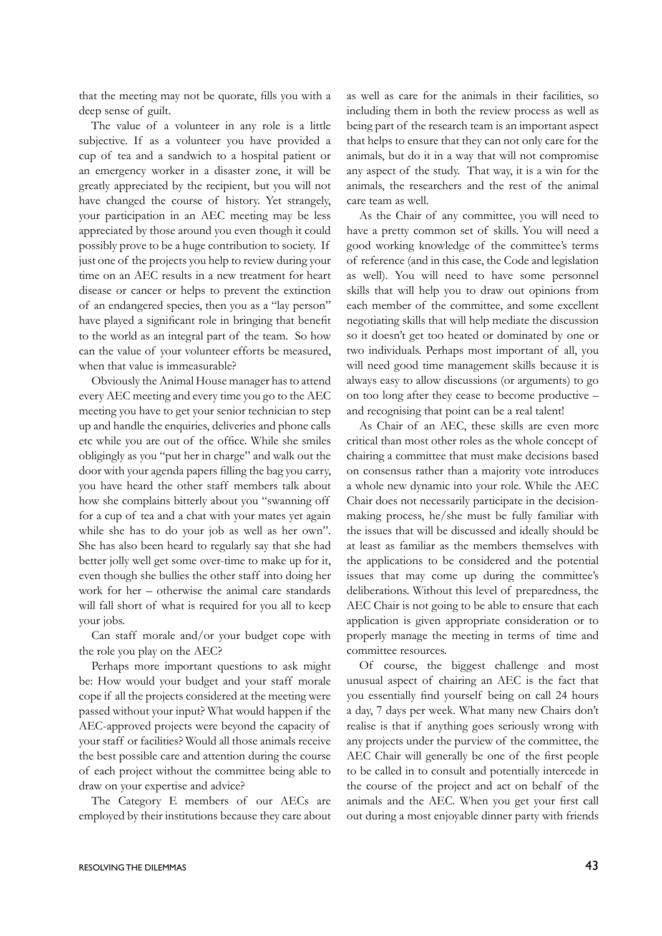that the meeting may not be quorate, fills you with a deep sense of guilt.

The value of a volunteer in any role is a little subjective. If as a volunteer you have provided a cup of tea and a sandwich to a hospital patient or an emergency worker in a disaster zone, it will be greatly appreciated by the recipient, but you will not have changed the course of history. Yet strangely, your participation in an AEC meeting may be less appreciated by those around you even though it could possibly prove to be a huge contribution to society. If just one of the projects you help to review during your time on an AEC results in a new treatment for heart disease or cancer or helps to prevent the extinction of an endangered species, then you as a "lay person" have played a significant role in bringing that benefit to the world as an integral part of the team. So how can the value of your volunteer efforts be measured, when that value is immeasurable?

Obviously the Animal House manager has to attend every AEC meeting and every time you go to the AEC meeting you have to get your senior technician to step up and handle the enquiries, deliveries and phone calls etc while you are out of the office. While she smiles obligingly as you "put her in charge" and walk out the door with your agenda papers filling the bag you carry, you have heard the other staff members talk about how she complains bitterly about you "swanning off for a cup of tea and a chat with your mates yet again while she has to do your job as well as her own". She has also been heard to regularly say that she had better jolly well get some over-time to make up for it, even though she bullies the other staff into doing her work for her – otherwise the animal care standards will fall short of what is required for you all to keep your jobs.

Can staff morale and/or your budget cope with the role you play on the AEC?

Perhaps more important questions to ask might be: How would your budget and your staff morale cope if all the projects considered at the meeting were passed without your input? What would happen if the AEC-approved projects were beyond the capacity of your staff or facilities? Would all those animals receive the best possible care and attention during the course of each project without the committee being able to draw on your expertise and advice?

The Category E members of our AECs are employed by their institutions because they care about as well as care for the animals in their facilities, so including them in both the review process as well as being part of the research team is an important aspect that helps to ensure that they can not only care for the animals, but do it in a way that will not compromise any aspect of the study. That way, it is a win for the animals, the researchers and the rest of the animal care team as well.

As the Chair of any committee, you will need to have a pretty common set of skills. You will need a good working knowledge of the committee's terms of reference (and in this case, the Code and legislation as well). You will need to have some personnel skills that will help you to draw out opinions from each member of the committee, and some excellent negotiating skills that will help mediate the discussion so it doesn't get too heated or dominated by one or two individuals. Perhaps most important of all, you will need good time management skills because it is always easy to allow discussions (or arguments) to go on too long after they cease to become productive – and recognising that point can be a real talent!

As Chair of an AEC, these skills are even more critical than most other roles as the whole concept of chairing a committee that must make decisions based on consensus rather than a majority vote introduces a whole new dynamic into your role. While the AEC Chair does not necessarily participate in the decisionmaking process, he/she must be fully familiar with the issues that will be discussed and ideally should be at least as familiar as the members themselves with the applications to be considered and the potential issues that may come up during the committee's deliberations. Without this level of preparedness, the AEC Chair is not going to be able to ensure that each application is given appropriate consideration or to properly manage the meeting in terms of time and committee resources.

Of course, the biggest challenge and most unusual aspect of chairing an AEC is the fact that you essentially find yourself being on call 24 hours a day, 7 days per week. What many new Chairs don't realise is that if anything goes seriously wrong with any projects under the purview of the committee, the AEC Chair will generally be one of the first people to be called in to consult and potentially intercede in the course of the project and act on behalf of the animals and the AEC. When you get your first call out during a most enjoyable dinner party with friends